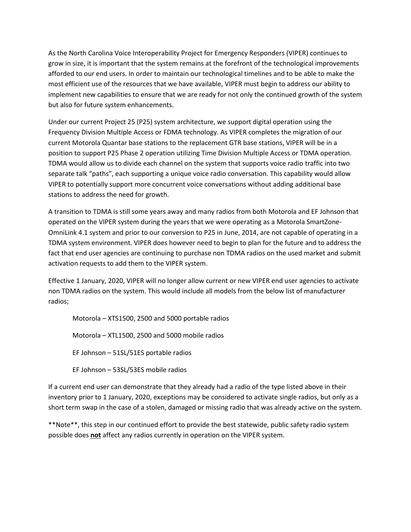As the North Carolina Voice Interoperability Project for Emergency Responders (VIPER) continues to grow in size, it is important that the system remains at the forefront of the technological improvements afforded to our end users. In order to maintain our technological timelines and to be able to make the most efficient use of the resources that we have available, VIPER must begin to address our ability to implement new capabilities to ensure that we are ready for not only the continued growth of the system but also for future system enhancements.

Under our current Project 25 (P25) system architecture, we support digital operation using the Frequency Division Multiple Access or FDMA technology. As VIPER completes the migration of our current Motorola Quantar base stations to the replacement GTR base stations, VIPER will be in a position to support P25 Phase 2 operation utilizing Time Division Multiple Access or TDMA operation. TDMA would allow us to divide each channel on the system that supports voice radio traffic into two separate talk "paths", each supporting a unique voice radio conversation. This capability would allow VIPER to potentially support more concurrent voice conversations without adding additional base stations to address the need for growth.

A transition to TDMA is still some years away and many radios from both Motorola and EF Johnson that operated on the VIPER system during the years that we were operating as a Motorola SmartZone-OmniLink 4.1 system and prior to our conversion to P25 in June, 2014, are not capable of operating in a TDMA system environment. VIPER does however need to begin to plan for the future and to address the fact that end user agencies are continuing to purchase non TDMA radios on the used market and submit activation requests to add them to the VIPER system.

Effective 1 January, 2020, VIPER will no longer allow current or new VIPER end user agencies to activate non TDMA radios on the system. This would include all models from the below list of manufacturer radios;

Motorola – XTS1500, 2500 and 5000 portable radios

Motorola – XTL1500, 2500 and 5000 mobile radios

EF Johnson – 51SL/51ES portable radios

EF Johnson – 53SL/53ES mobile radios

If a current end user can demonstrate that they already had a radio of the type listed above in their inventory prior to 1 January, 2020, exceptions may be considered to activate single radios, but only as a short term swap in the case of a stolen, damaged or missing radio that was already active on the system.

\*\*Note\*\*, this step in our continued effort to provide the best statewide, public safety radio system possible does **not** affect any radios currently in operation on the VIPER system.